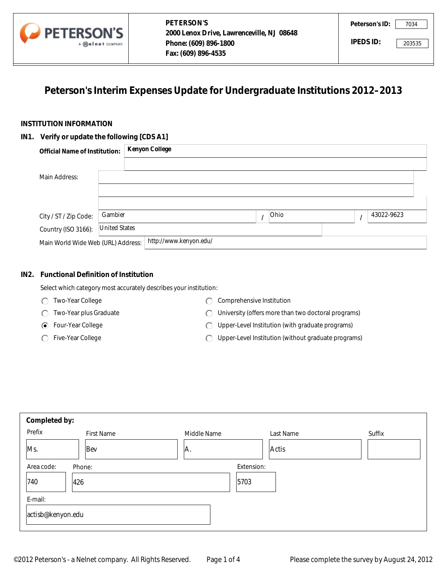

# **Peterson's Interim Expenses Update for Undergraduate Institutions 2012–2013**

## **INSTITUTION INFORMATION**

#### **IN1. Verify or update the following [CDS A1]**

|                                                              | A <b>melnet</b> COMPANY | Phone: (609) 896-1800<br>Fax: (609) 896-4535                                |      | <b>IPEDS ID:</b> |            | 203535 |
|--------------------------------------------------------------|-------------------------|-----------------------------------------------------------------------------|------|------------------|------------|--------|
|                                                              |                         | Peterson's Interim Expenses Update for Undergraduate Institutions 2012-2013 |      |                  |            |        |
| TITUTION INFORMATION                                         |                         |                                                                             |      |                  |            |        |
| Verify or update the following [CDS A1]                      |                         |                                                                             |      |                  |            |        |
| <b>Official Name of Institution:</b>                         |                         | <b>Kenyon College</b>                                                       |      |                  |            |        |
|                                                              |                         |                                                                             |      |                  |            |        |
| Main Address:                                                |                         |                                                                             |      |                  |            |        |
|                                                              |                         |                                                                             |      |                  |            |        |
|                                                              |                         |                                                                             |      |                  |            |        |
| City / ST / Zip Code:                                        | Gambier                 |                                                                             | Ohio | $\prime$         | 43022-9623 |        |
| Country (ISO 3166):                                          | <b>United States</b>    |                                                                             |      |                  |            |        |
| http://www.kenyon.edu/<br>Main World Wide Web (URL) Address: |                         |                                                                             |      |                  |            |        |

## **IN2. Functional Definition of Institution**

Select which category most accurately describes your institution:

- Two-Year College
- Two-Year plus Graduate
- Four-Year College
- ◯ Five-Year College
- C Comprehensive Institution
- University (offers more than two doctoral programs)
- Upper-Level Institution (with graduate programs)
- Upper-Level Institution (without graduate programs)

| Completed by:     |            |             |           |                      |
|-------------------|------------|-------------|-----------|----------------------|
| Prefix            | First Name | Middle Name | Last Name | Suffix               |
| Ms.               | Bev        | A.          | Actis     | $\blacktriangledown$ |
| Area code:        | Phone:     | Extension:  |           |                      |
| 740               | 426        | 5703        |           |                      |
| E-mail:           |            |             |           |                      |
| actisb@kenyon.edu |            |             |           |                      |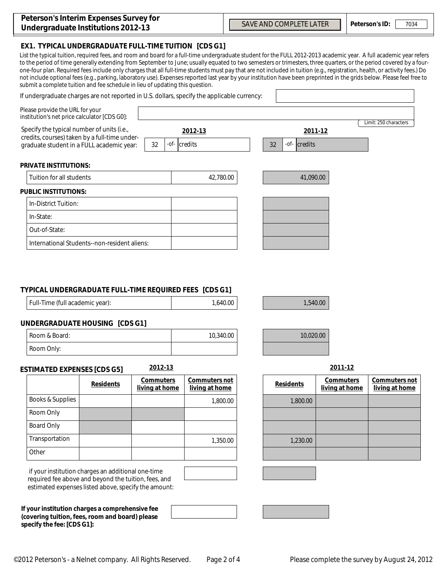| Peterson's Interim Expenses Survey for |  |
|----------------------------------------|--|
| Undergraduate Institutions 2012-13     |  |

**EX1. TYPICAL UNDERGRADUATE FULL-TIME TUITION [CDS G1]** 

List the typical tuition, required fees, and room and board for a full-time undergraduate student for the FULL 2012-2013 academic year. A full academic year refers to the period of time generally extending from September to June; usually equated to two semesters or trimesters, three quarters, or the period covered by a fourone-four plan. Required fees include only charges that all full-time students must pay that are not included in tuition (e.g., registration, health, or activity fees.) Do not include optional fees (e.g., parking, laboratory use). Expenses reported last year by your institution have been preprinted in the grids below. Please feel free to submit a complete tuition and fee schedule in lieu of updating this question.

| If undergraduate charges are not reported in U.S. dollars, specify the applicable currency:                                              |                               |                                                    | $\left  \right. \right. \left. \left. \right. \right. \left. \left. \right. \left. \right. \left. \left. \right. \left. \left. \right. \right. \left. \left. \right. \left. \left. \right. \right. \left. \left. \right. \left. \left. \right. \right. \left. \left. \right. \left. \left. \right. \right. \left. \left. \right. \right. \left. \left. \right. \left. \right. \left. \left. \right. \right. \left. \left. \right. \right. \left. \left. \right. \left. \left. \right. \right. \left. \left. \right. \right. \left. \left. \right. \left. \right. \$ |
|------------------------------------------------------------------------------------------------------------------------------------------|-------------------------------|----------------------------------------------------|---------------------------------------------------------------------------------------------------------------------------------------------------------------------------------------------------------------------------------------------------------------------------------------------------------------------------------------------------------------------------------------------------------------------------------------------------------------------------------------------------------------------------------------------------------------------|
| Please provide the URL for your<br>institution's net price calculator [CDS G0]:                                                          |                               |                                                    |                                                                                                                                                                                                                                                                                                                                                                                                                                                                                                                                                                     |
| Specify the typical number of units (i.e.,<br>credits, courses) taken by a full-time under-<br>graduate student in a FULL academic year: | 2012-13<br>32<br>-of- credits | 2011-12<br>32<br>$-$ <i>of</i> - $ {\bf{c}$ redits | Limit: 250 characters                                                                                                                                                                                                                                                                                                                                                                                                                                                                                                                                               |
| <b>PRIVATE INSTITUTIONS:</b>                                                                                                             |                               |                                                    |                                                                                                                                                                                                                                                                                                                                                                                                                                                                                                                                                                     |
| <b>Tuition for all students</b>                                                                                                          | 42,780.00                     | 41,090.00                                          |                                                                                                                                                                                                                                                                                                                                                                                                                                                                                                                                                                     |
| <b>PUBLIC INSTITUTIONS:</b>                                                                                                              |                               |                                                    |                                                                                                                                                                                                                                                                                                                                                                                                                                                                                                                                                                     |
| In-District Tuition:                                                                                                                     |                               |                                                    |                                                                                                                                                                                                                                                                                                                                                                                                                                                                                                                                                                     |
| In-State:                                                                                                                                |                               |                                                    |                                                                                                                                                                                                                                                                                                                                                                                                                                                                                                                                                                     |
| Out-of-State:                                                                                                                            |                               |                                                    |                                                                                                                                                                                                                                                                                                                                                                                                                                                                                                                                                                     |
| International Students--non-resident aliens:                                                                                             |                               |                                                    |                                                                                                                                                                                                                                                                                                                                                                                                                                                                                                                                                                     |
|                                                                                                                                          |                               |                                                    |                                                                                                                                                                                                                                                                                                                                                                                                                                                                                                                                                                     |

### **TYPICAL UNDERGRADUATE FULL-TIME REQUIRED FEES [CDS G1]**

|  | Full-Time (full academic year): | 1,640.00 |
|--|---------------------------------|----------|
|--|---------------------------------|----------|

## **UNDERGRADUATE HOUSING [CDS G1]**

| Room & Board: | 10,340.00 |
|---------------|-----------|
| Room Only:    |           |

#### **ESTIMATED EXPENSES [CDS G5] 2012-13 2011-12**

|                   | <b>Residents</b> | <b>Commuters</b><br>living at home | Commuters not<br>living at home |
|-------------------|------------------|------------------------------------|---------------------------------|
| Books & Supplies  |                  |                                    | 1,800.00                        |
| Room Only         |                  |                                    |                                 |
| <b>Board Only</b> |                  |                                    |                                 |
| Transportation    |                  |                                    | 1,350.00                        |
| Other             |                  |                                    |                                 |

 if your institution charges an additional one-time required fee above and beyond the tuition, fees, and estimated expenses listed above, specify the amount:

**If your institution charges a comprehensive fee (covering tuition, fees, room and board) please specify the fee: [CDS G1]:**

| Commuters not<br>living at home | <b>Residents</b> | <b>Commuters</b><br>living at home | Commuters not<br>living at home |
|---------------------------------|------------------|------------------------------------|---------------------------------|
| 1,800.00                        | 1,800.00         |                                    |                                 |
|                                 |                  |                                    |                                 |
|                                 |                  |                                    |                                 |
| 1,350.00                        | 1,230.00         |                                    |                                 |
|                                 |                  |                                    |                                 |

1,540.00

10.020.00

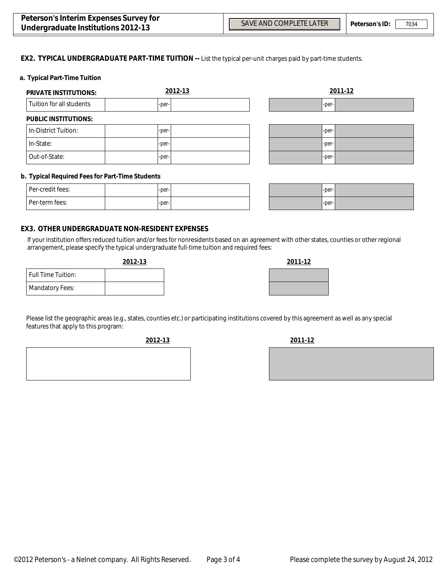$\blacktriangledown$ 

#### **EX2. TYPICAL UNDERGRADUATE PART-TIME TUITION --** List the typical per-unit charges paid by part-time students.

#### **a. Typical Part-Time Tuition**

| <b>PRIVATE INSTITUTIONS:</b> | 2012-13 |   | 2011-12 |
|------------------------------|---------|---|---------|
| Tuition for all students     | -per-   |   | -per-   |
| <b>PUBLIC INSTITUTIONS:</b>  |         |   |         |
| In-District Tuition:         | -per-   |   | -per-   |
| In-State:                    | -per-   |   | -per-   |
| Out-of-State:                | -per-   | ▼ | -per-   |

#### **b. Typical Required Fees for Part-Time Students**

| Per-credit fees: | $-per-$ |  |
|------------------|---------|--|
| l Per-term fees: | $-per-$ |  |

| $-per-$ |  |
|---------|--|
| $-per-$ |  |

#### **EX3. OTHER UNDERGRADUATE NON-RESIDENT EXPENSES**

If your institution offers reduced tuition and/or fees for nonresidents based on an agreement with other states, counties or other regional arrangement, please specify the typical undergraduate full-time tuition and required fees:

| 2012-13 | 2011-12 |
|---------|---------|
|         |         |
|         |         |

|                           | <u>.</u> |
|---------------------------|----------|
| <b>Full Time Tuition:</b> |          |
| <b>Mandatory Fees:</b>    |          |
|                           |          |

Please list the geographic areas (e.g., states, counties etc.) or participating institutions covered by this agreement as well as any special features that apply to this program:

**2012-13 2011-12**